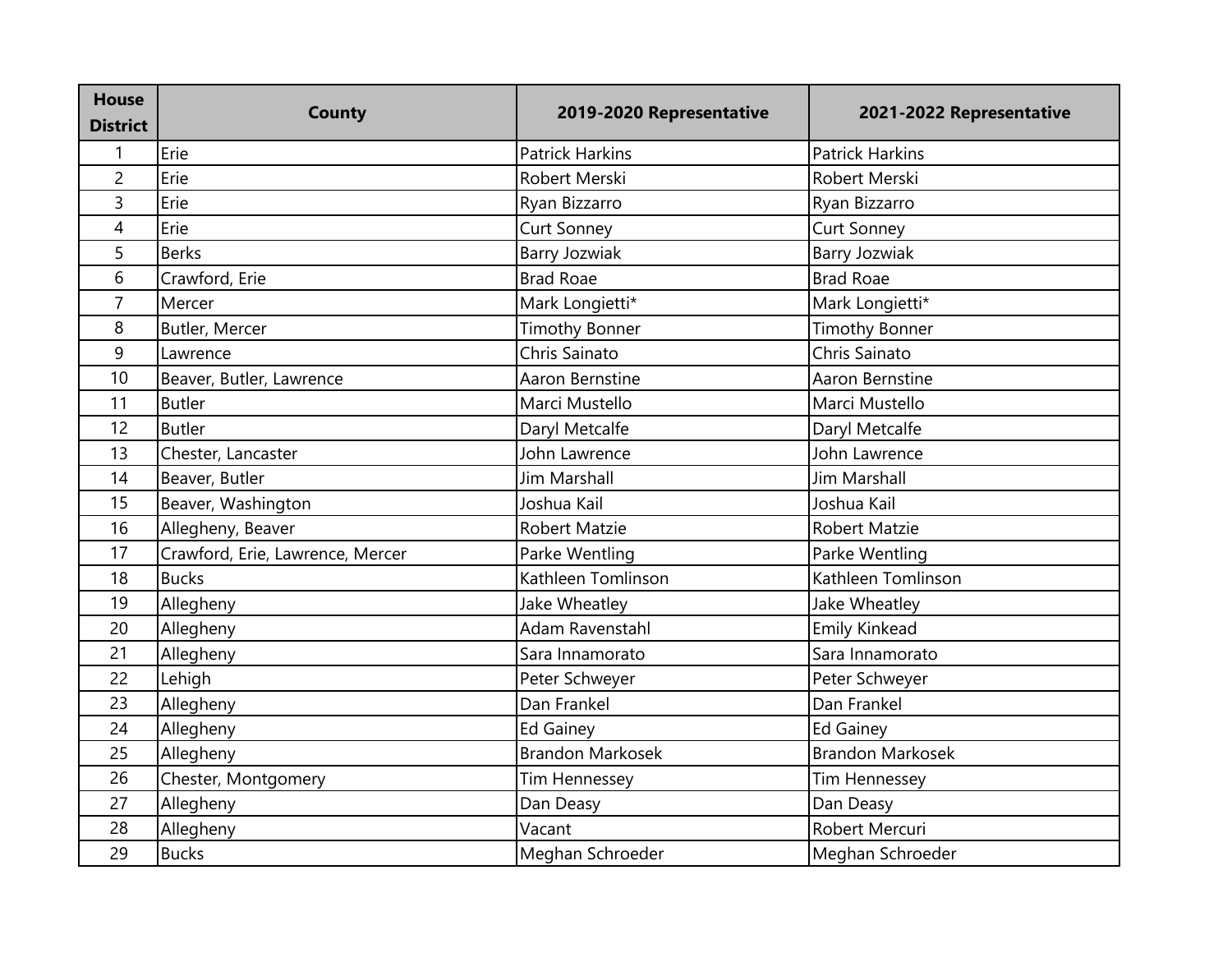| <b>House</b><br><b>District</b> | <b>County</b>                    | 2019-2020 Representative | 2021-2022 Representative |
|---------------------------------|----------------------------------|--------------------------|--------------------------|
| $\mathbf{1}$                    | Erie                             | <b>Patrick Harkins</b>   | <b>Patrick Harkins</b>   |
| $\overline{2}$                  | Erie                             | Robert Merski            | Robert Merski            |
| 3                               | Erie                             | Ryan Bizzarro            | Ryan Bizzarro            |
| 4                               | Erie                             | <b>Curt Sonney</b>       | <b>Curt Sonney</b>       |
| 5                               | <b>Berks</b>                     | <b>Barry Jozwiak</b>     | <b>Barry Jozwiak</b>     |
| 6                               | Crawford, Erie                   | <b>Brad Roae</b>         | <b>Brad Roae</b>         |
| $\overline{7}$                  | Mercer                           | Mark Longietti*          | Mark Longietti*          |
| 8                               | Butler, Mercer                   | <b>Timothy Bonner</b>    | <b>Timothy Bonner</b>    |
| 9                               | Lawrence                         | Chris Sainato            | Chris Sainato            |
| 10                              | Beaver, Butler, Lawrence         | Aaron Bernstine          | Aaron Bernstine          |
| 11                              | <b>Butler</b>                    | Marci Mustello           | Marci Mustello           |
| 12                              | <b>Butler</b>                    | Daryl Metcalfe           | Daryl Metcalfe           |
| 13                              | Chester, Lancaster               | John Lawrence            | John Lawrence            |
| 14                              | Beaver, Butler                   | Jim Marshall             | <b>Jim Marshall</b>      |
| 15                              | Beaver, Washington               | Joshua Kail              | Joshua Kail              |
| 16                              | Allegheny, Beaver                | <b>Robert Matzie</b>     | Robert Matzie            |
| 17                              | Crawford, Erie, Lawrence, Mercer | Parke Wentling           | Parke Wentling           |
| 18                              | <b>Bucks</b>                     | Kathleen Tomlinson       | Kathleen Tomlinson       |
| 19                              | Allegheny                        | Jake Wheatley            | Jake Wheatley            |
| 20                              | Allegheny                        | Adam Ravenstahl          | <b>Emily Kinkead</b>     |
| 21                              | Allegheny                        | Sara Innamorato          | Sara Innamorato          |
| 22                              | Lehigh                           | Peter Schweyer           | Peter Schweyer           |
| 23                              | Allegheny                        | Dan Frankel              | Dan Frankel              |
| 24                              | Allegheny                        | <b>Ed Gainey</b>         | <b>Ed Gainey</b>         |
| 25                              | Allegheny                        | <b>Brandon Markosek</b>  | <b>Brandon Markosek</b>  |
| 26                              | Chester, Montgomery              | <b>Tim Hennessey</b>     | <b>Tim Hennessey</b>     |
| 27                              | Allegheny                        | Dan Deasy                | Dan Deasy                |
| 28                              | Allegheny                        | Vacant                   | Robert Mercuri           |
| 29                              | <b>Bucks</b>                     | Meghan Schroeder         | Meghan Schroeder         |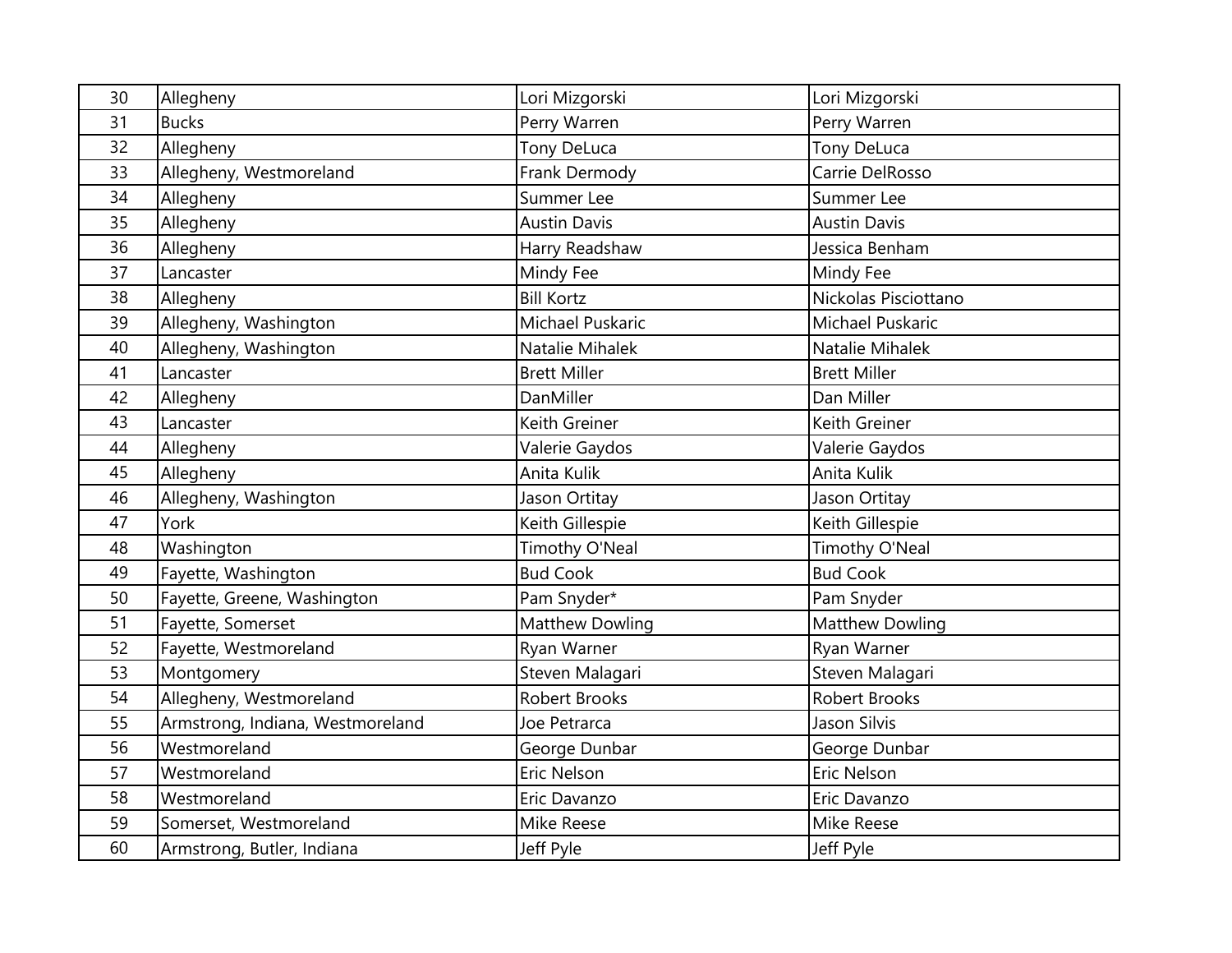| 30 | Allegheny                        | Lori Mizgorski       | Lori Mizgorski         |
|----|----------------------------------|----------------------|------------------------|
| 31 | <b>Bucks</b>                     | Perry Warren         | Perry Warren           |
| 32 | Allegheny                        | Tony DeLuca          | Tony DeLuca            |
| 33 | Allegheny, Westmoreland          | Frank Dermody        | Carrie DelRosso        |
| 34 | Allegheny                        | Summer Lee           | Summer Lee             |
| 35 | Allegheny                        | <b>Austin Davis</b>  | <b>Austin Davis</b>    |
| 36 | Allegheny                        | Harry Readshaw       | Jessica Benham         |
| 37 | Lancaster                        | Mindy Fee            | Mindy Fee              |
| 38 | Allegheny                        | <b>Bill Kortz</b>    | Nickolas Pisciottano   |
| 39 | Allegheny, Washington            | Michael Puskaric     | Michael Puskaric       |
| 40 | Allegheny, Washington            | Natalie Mihalek      | Natalie Mihalek        |
| 41 | Lancaster                        | <b>Brett Miller</b>  | <b>Brett Miller</b>    |
| 42 | Allegheny                        | DanMiller            | Dan Miller             |
| 43 | Lancaster                        | Keith Greiner        | Keith Greiner          |
| 44 | Allegheny                        | Valerie Gaydos       | Valerie Gaydos         |
| 45 | Allegheny                        | Anita Kulik          | Anita Kulik            |
| 46 | Allegheny, Washington            | Jason Ortitay        | Jason Ortitay          |
| 47 | York                             | Keith Gillespie      | Keith Gillespie        |
| 48 | Washington                       | Timothy O'Neal       | Timothy O'Neal         |
| 49 | Fayette, Washington              | <b>Bud Cook</b>      | <b>Bud Cook</b>        |
| 50 | Fayette, Greene, Washington      | Pam Snyder*          | Pam Snyder             |
| 51 | Fayette, Somerset                | Matthew Dowling      | <b>Matthew Dowling</b> |
| 52 | Fayette, Westmoreland            | Ryan Warner          | Ryan Warner            |
| 53 | Montgomery                       | Steven Malagari      | Steven Malagari        |
| 54 | Allegheny, Westmoreland          | <b>Robert Brooks</b> | <b>Robert Brooks</b>   |
| 55 | Armstrong, Indiana, Westmoreland | Joe Petrarca         | Jason Silvis           |
| 56 | Westmoreland                     | George Dunbar        | George Dunbar          |
| 57 | Westmoreland                     | Eric Nelson          | Eric Nelson            |
| 58 | Westmoreland                     | Eric Davanzo         | Eric Davanzo           |
| 59 | Somerset, Westmoreland           | Mike Reese           | Mike Reese             |
| 60 | Armstrong, Butler, Indiana       | Jeff Pyle            | Jeff Pyle              |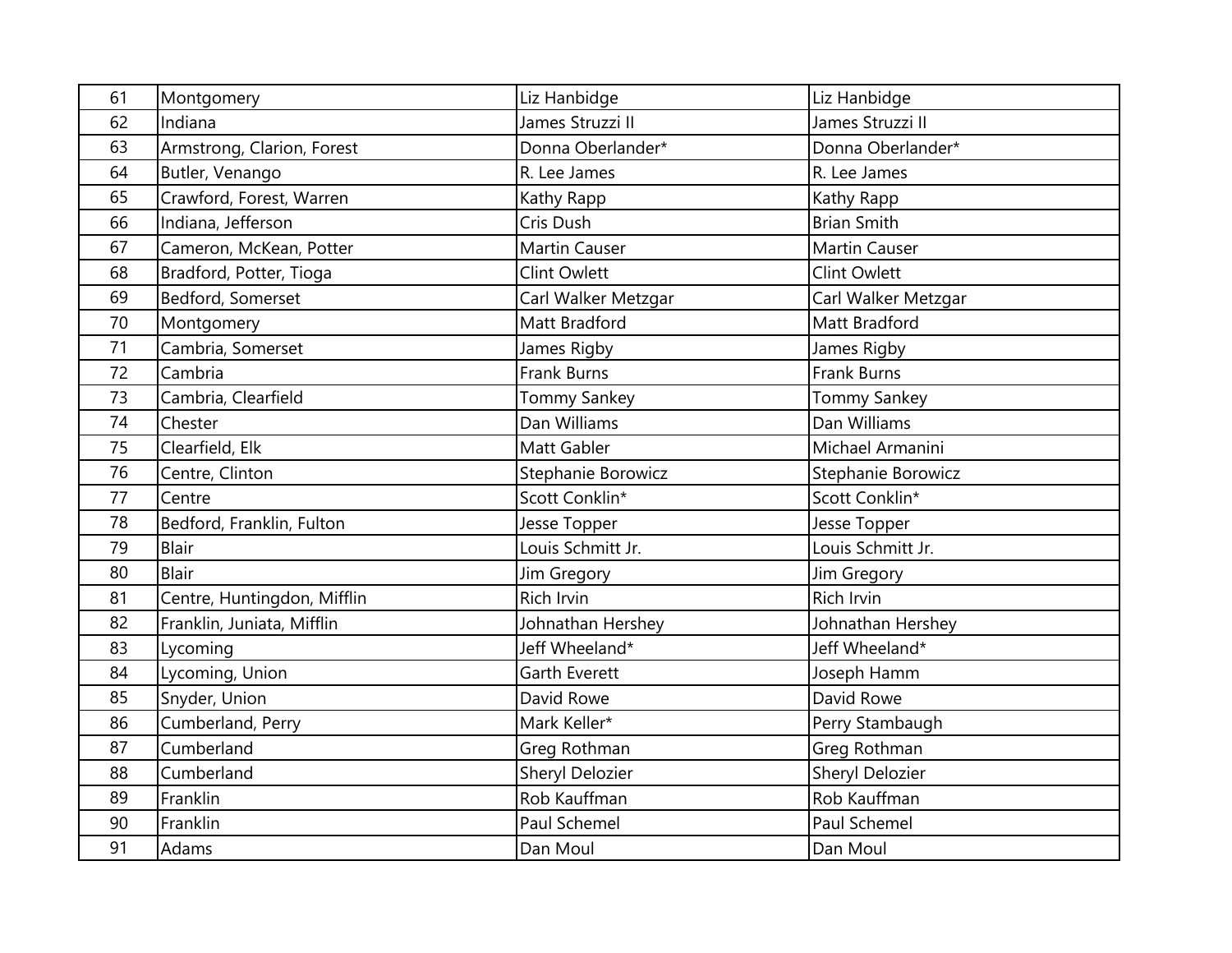| 61 | Montgomery                  | Liz Hanbidge         | Liz Hanbidge           |
|----|-----------------------------|----------------------|------------------------|
| 62 | Indiana                     | James Struzzi II     | James Struzzi II       |
| 63 | Armstrong, Clarion, Forest  | Donna Oberlander*    | Donna Oberlander*      |
| 64 | Butler, Venango             | R. Lee James         | R. Lee James           |
| 65 | Crawford, Forest, Warren    | Kathy Rapp           | Kathy Rapp             |
| 66 | Indiana, Jefferson          | Cris Dush            | <b>Brian Smith</b>     |
| 67 | Cameron, McKean, Potter     | <b>Martin Causer</b> | <b>Martin Causer</b>   |
| 68 | Bradford, Potter, Tioga     | <b>Clint Owlett</b>  | <b>Clint Owlett</b>    |
| 69 | Bedford, Somerset           | Carl Walker Metzgar  | Carl Walker Metzgar    |
| 70 | Montgomery                  | Matt Bradford        | Matt Bradford          |
| 71 | Cambria, Somerset           | James Rigby          | James Rigby            |
| 72 | Cambria                     | <b>Frank Burns</b>   | <b>Frank Burns</b>     |
| 73 | Cambria, Clearfield         | <b>Tommy Sankey</b>  | <b>Tommy Sankey</b>    |
| 74 | Chester                     | Dan Williams         | Dan Williams           |
| 75 | Clearfield, Elk             | Matt Gabler          | Michael Armanini       |
| 76 | Centre, Clinton             | Stephanie Borowicz   | Stephanie Borowicz     |
| 77 | Centre                      | Scott Conklin*       | Scott Conklin*         |
| 78 | Bedford, Franklin, Fulton   | Jesse Topper         | Jesse Topper           |
| 79 | <b>Blair</b>                | Louis Schmitt Jr.    | Louis Schmitt Jr.      |
| 80 | <b>Blair</b>                | Jim Gregory          | Jim Gregory            |
| 81 | Centre, Huntingdon, Mifflin | Rich Irvin           | Rich Irvin             |
| 82 | Franklin, Juniata, Mifflin  | Johnathan Hershey    | Johnathan Hershey      |
| 83 | Lycoming                    | Jeff Wheeland*       | Jeff Wheeland*         |
| 84 | Lycoming, Union             | <b>Garth Everett</b> | Joseph Hamm            |
| 85 | Snyder, Union               | David Rowe           | David Rowe             |
| 86 | Cumberland, Perry           | Mark Keller*         | Perry Stambaugh        |
| 87 | Cumberland                  | Greg Rothman         | Greg Rothman           |
| 88 | Cumberland                  | Sheryl Delozier      | <b>Sheryl Delozier</b> |
| 89 | Franklin                    | Rob Kauffman         | Rob Kauffman           |
| 90 | Franklin                    | Paul Schemel         | Paul Schemel           |
| 91 | Adams                       | Dan Moul             | Dan Moul               |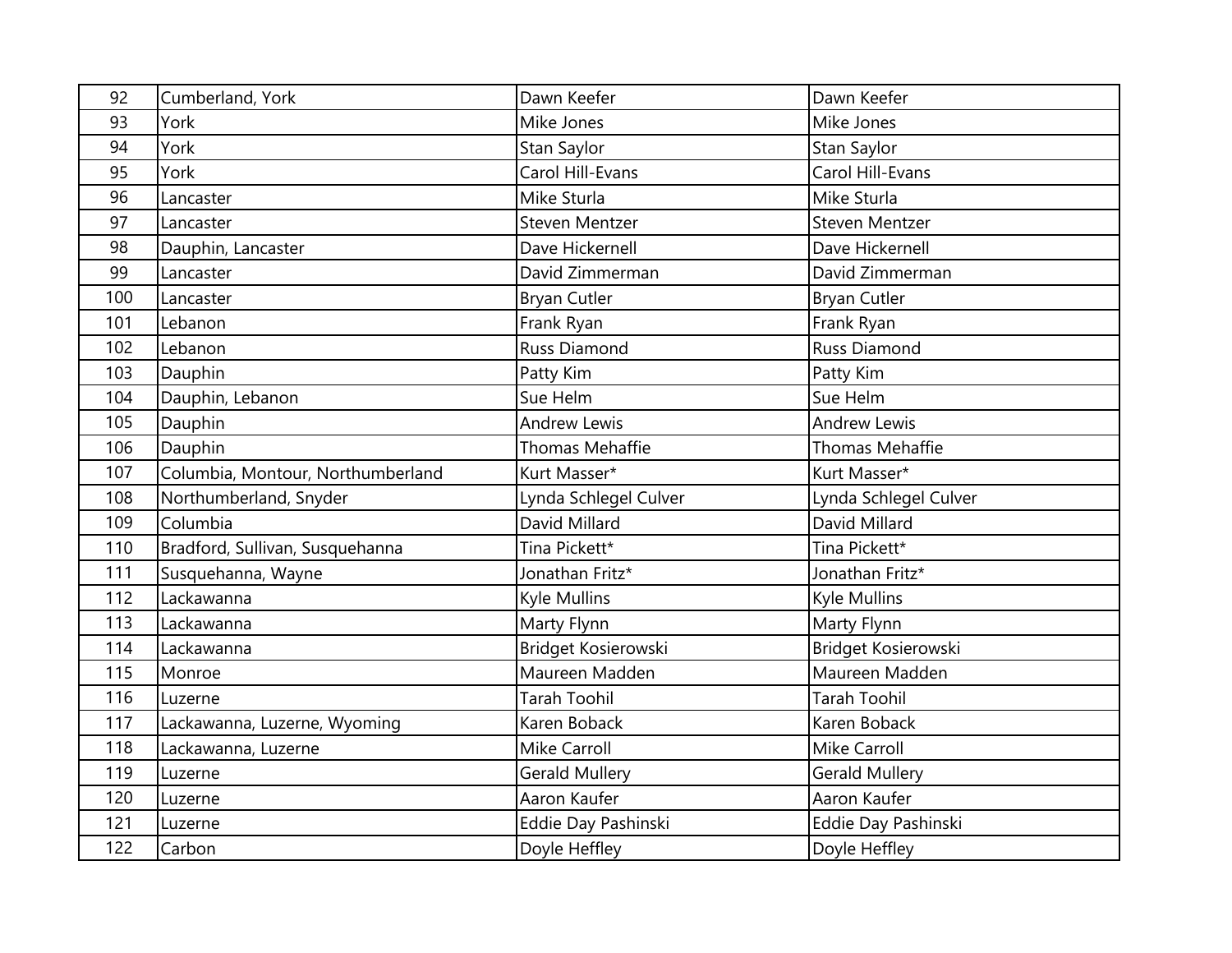| 92  | Cumberland, York                  | Dawn Keefer            | Dawn Keefer            |
|-----|-----------------------------------|------------------------|------------------------|
| 93  | York                              | Mike Jones             | Mike Jones             |
| 94  | York                              | Stan Saylor            | Stan Saylor            |
| 95  | York                              | Carol Hill-Evans       | Carol Hill-Evans       |
| 96  | Lancaster                         | Mike Sturla            | Mike Sturla            |
| 97  | Lancaster                         | <b>Steven Mentzer</b>  | <b>Steven Mentzer</b>  |
| 98  | Dauphin, Lancaster                | Dave Hickernell        | Dave Hickernell        |
| 99  | Lancaster                         | David Zimmerman        | David Zimmerman        |
| 100 | Lancaster                         | <b>Bryan Cutler</b>    | <b>Bryan Cutler</b>    |
| 101 | Lebanon                           | Frank Ryan             | Frank Ryan             |
| 102 | Lebanon                           | <b>Russ Diamond</b>    | <b>Russ Diamond</b>    |
| 103 | Dauphin                           | Patty Kim              | Patty Kim              |
| 104 | Dauphin, Lebanon                  | Sue Helm               | Sue Helm               |
| 105 | Dauphin                           | <b>Andrew Lewis</b>    | <b>Andrew Lewis</b>    |
| 106 | Dauphin                           | <b>Thomas Mehaffie</b> | <b>Thomas Mehaffie</b> |
| 107 | Columbia, Montour, Northumberland | Kurt Masser*           | Kurt Masser*           |
| 108 | Northumberland, Snyder            | Lynda Schlegel Culver  | Lynda Schlegel Culver  |
| 109 | Columbia                          | David Millard          | David Millard          |
| 110 | Bradford, Sullivan, Susquehanna   | Tina Pickett*          | Tina Pickett*          |
| 111 | Susquehanna, Wayne                | Jonathan Fritz*        | Jonathan Fritz*        |
| 112 | Lackawanna                        | Kyle Mullins           | Kyle Mullins           |
| 113 | Lackawanna                        | Marty Flynn            | Marty Flynn            |
| 114 | Lackawanna                        | Bridget Kosierowski    | Bridget Kosierowski    |
| 115 | Monroe                            | Maureen Madden         | Maureen Madden         |
| 116 | Luzerne                           | <b>Tarah Toohil</b>    | <b>Tarah Toohil</b>    |
| 117 | Lackawanna, Luzerne, Wyoming      | Karen Boback           | Karen Boback           |
| 118 | Lackawanna, Luzerne               | <b>Mike Carroll</b>    | <b>Mike Carroll</b>    |
| 119 | Luzerne                           | <b>Gerald Mullery</b>  | <b>Gerald Mullery</b>  |
| 120 | Luzerne                           | Aaron Kaufer           | Aaron Kaufer           |
| 121 | Luzerne                           | Eddie Day Pashinski    | Eddie Day Pashinski    |
| 122 | Carbon                            | Doyle Heffley          | Doyle Heffley          |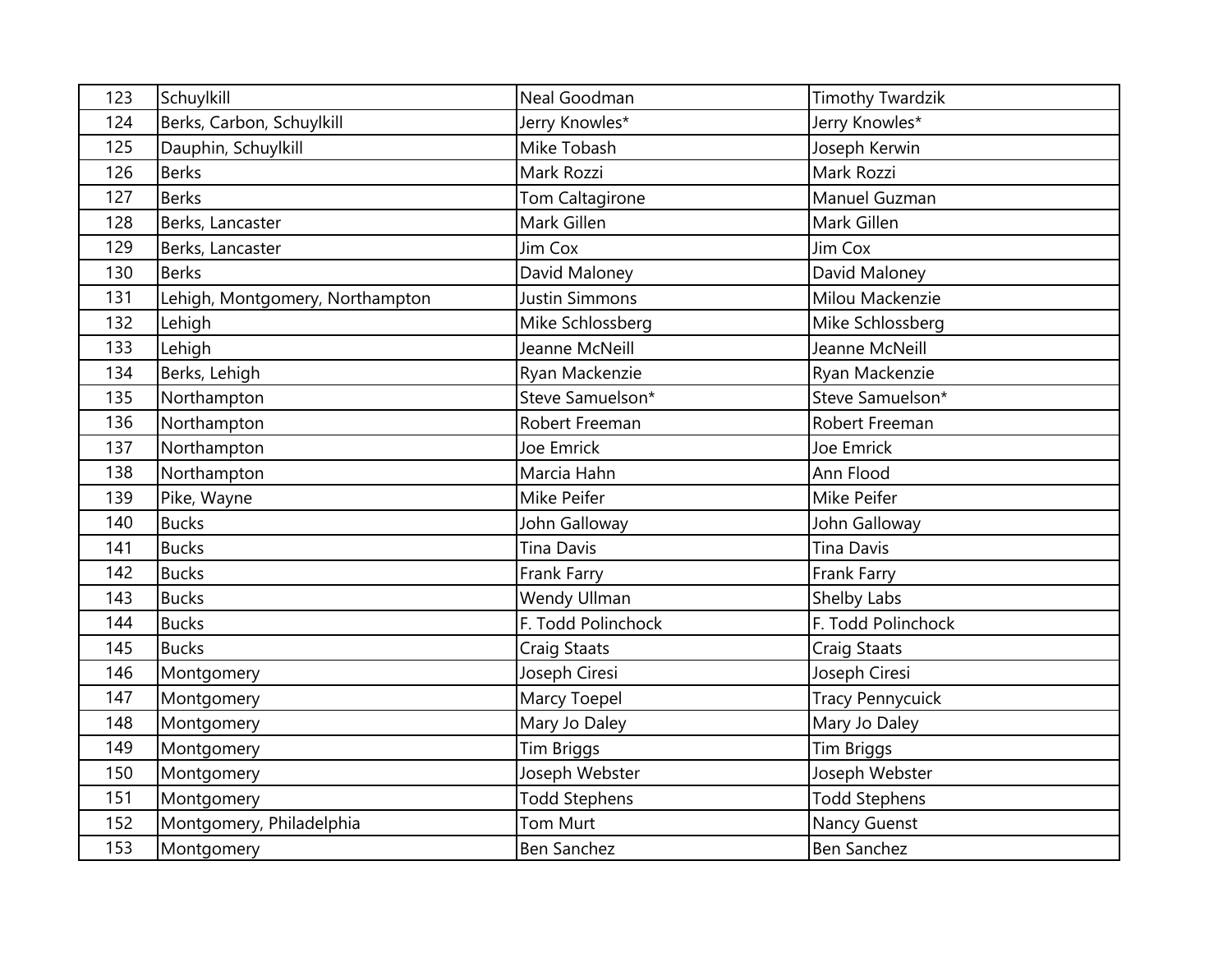| 123 | Schuylkill                      | Neal Goodman         | <b>Timothy Twardzik</b> |
|-----|---------------------------------|----------------------|-------------------------|
| 124 | Berks, Carbon, Schuylkill       | Jerry Knowles*       | Jerry Knowles*          |
| 125 | Dauphin, Schuylkill             | Mike Tobash          | Joseph Kerwin           |
| 126 | <b>Berks</b>                    | Mark Rozzi           | Mark Rozzi              |
| 127 | <b>Berks</b>                    | Tom Caltagirone      | Manuel Guzman           |
| 128 | Berks, Lancaster                | Mark Gillen          | Mark Gillen             |
| 129 | Berks, Lancaster                | Jim Cox              | Jim Cox                 |
| 130 | <b>Berks</b>                    | David Maloney        | David Maloney           |
| 131 | Lehigh, Montgomery, Northampton | Justin Simmons       | Milou Mackenzie         |
| 132 | Lehigh                          | Mike Schlossberg     | Mike Schlossberg        |
| 133 | Lehigh                          | Jeanne McNeill       | Jeanne McNeill          |
| 134 | Berks, Lehigh                   | Ryan Mackenzie       | Ryan Mackenzie          |
| 135 | Northampton                     | Steve Samuelson*     | Steve Samuelson*        |
| 136 | Northampton                     | Robert Freeman       | Robert Freeman          |
| 137 | Northampton                     | Joe Emrick           | Joe Emrick              |
| 138 | Northampton                     | Marcia Hahn          | Ann Flood               |
| 139 | Pike, Wayne                     | Mike Peifer          | Mike Peifer             |
| 140 | <b>Bucks</b>                    | John Galloway        | John Galloway           |
| 141 | <b>Bucks</b>                    | <b>Tina Davis</b>    | <b>Tina Davis</b>       |
| 142 | <b>Bucks</b>                    | Frank Farry          | Frank Farry             |
| 143 | <b>Bucks</b>                    | Wendy Ullman         | Shelby Labs             |
| 144 | <b>Bucks</b>                    | F. Todd Polinchock   | F. Todd Polinchock      |
| 145 | <b>Bucks</b>                    | Craig Staats         | Craig Staats            |
| 146 | Montgomery                      | Joseph Ciresi        | Joseph Ciresi           |
| 147 | Montgomery                      | Marcy Toepel         | <b>Tracy Pennycuick</b> |
| 148 | Montgomery                      | Mary Jo Daley        | Mary Jo Daley           |
| 149 | Montgomery                      | <b>Tim Briggs</b>    | <b>Tim Briggs</b>       |
| 150 | Montgomery                      | Joseph Webster       | Joseph Webster          |
| 151 | Montgomery                      | <b>Todd Stephens</b> | <b>Todd Stephens</b>    |
| 152 | Montgomery, Philadelphia        | Tom Murt             | Nancy Guenst            |
| 153 | Montgomery                      | Ben Sanchez          | <b>Ben Sanchez</b>      |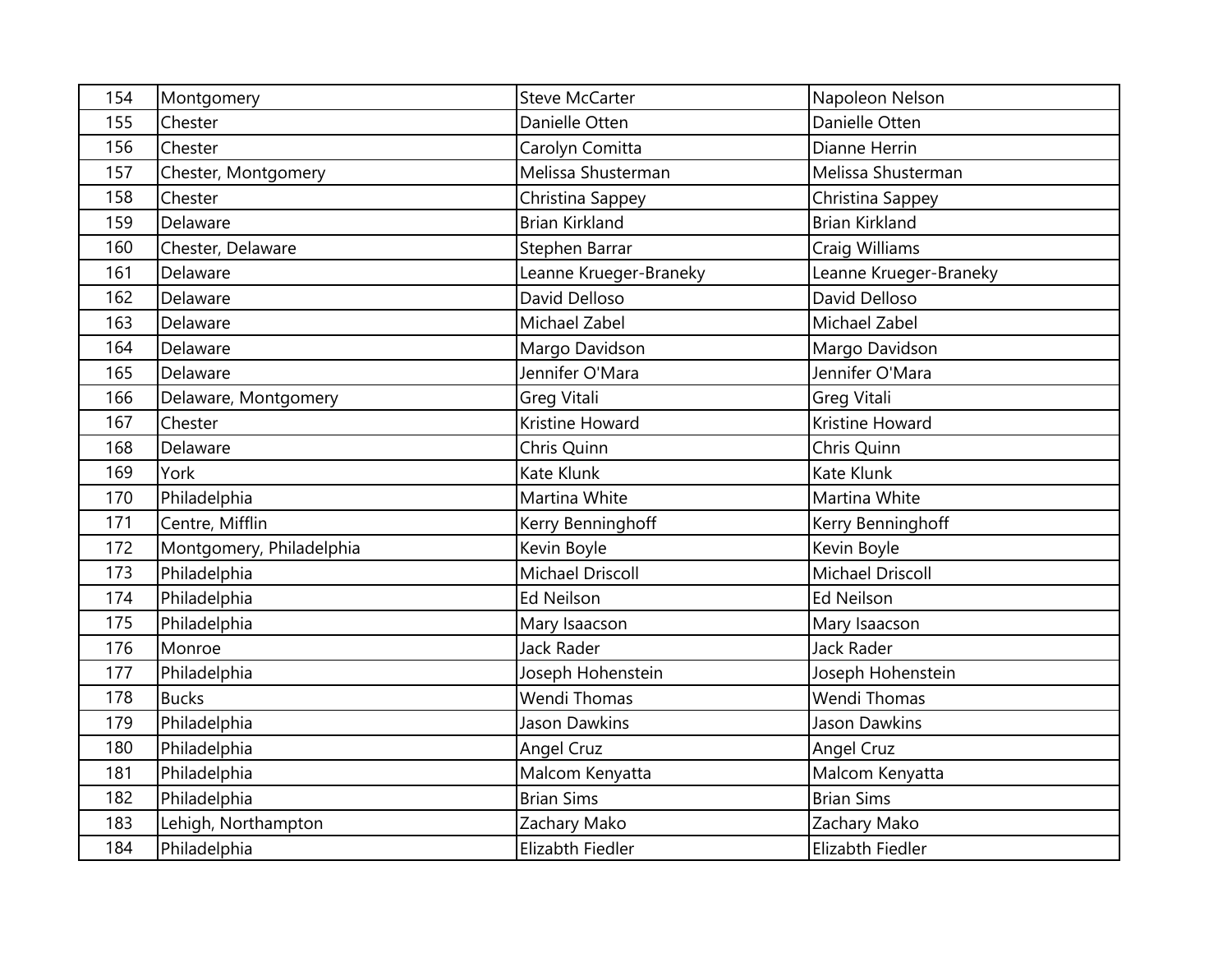| 154 | Montgomery               | <b>Steve McCarter</b>   | Napoleon Nelson        |
|-----|--------------------------|-------------------------|------------------------|
| 155 | Chester                  | Danielle Otten          | Danielle Otten         |
| 156 | Chester                  | Carolyn Comitta         | Dianne Herrin          |
| 157 | Chester, Montgomery      | Melissa Shusterman      | Melissa Shusterman     |
| 158 | Chester                  | Christina Sappey        | Christina Sappey       |
| 159 | Delaware                 | <b>Brian Kirkland</b>   | <b>Brian Kirkland</b>  |
| 160 | Chester, Delaware        | Stephen Barrar          | Craig Williams         |
| 161 | Delaware                 | Leanne Krueger-Braneky  | Leanne Krueger-Braneky |
| 162 | Delaware                 | David Delloso           | David Delloso          |
| 163 | Delaware                 | Michael Zabel           | Michael Zabel          |
| 164 | Delaware                 | Margo Davidson          | Margo Davidson         |
| 165 | Delaware                 | Jennifer O'Mara         | Jennifer O'Mara        |
| 166 | Delaware, Montgomery     | Greg Vitali             | Greg Vitali            |
| 167 | Chester                  | Kristine Howard         | Kristine Howard        |
| 168 | Delaware                 | Chris Quinn             | Chris Quinn            |
| 169 | York                     | Kate Klunk              | Kate Klunk             |
| 170 | Philadelphia             | Martina White           | Martina White          |
| 171 | Centre, Mifflin          | Kerry Benninghoff       | Kerry Benninghoff      |
| 172 | Montgomery, Philadelphia | Kevin Boyle             | Kevin Boyle            |
| 173 | Philadelphia             | <b>Michael Driscoll</b> | Michael Driscoll       |
| 174 | Philadelphia             | <b>Ed Neilson</b>       | <b>Ed Neilson</b>      |
| 175 | Philadelphia             | Mary Isaacson           | Mary Isaacson          |
| 176 | Monroe                   | Jack Rader              | <b>Jack Rader</b>      |
| 177 | Philadelphia             | Joseph Hohenstein       | Joseph Hohenstein      |
| 178 | <b>Bucks</b>             | <b>Wendi Thomas</b>     | Wendi Thomas           |
| 179 | Philadelphia             | <b>Jason Dawkins</b>    | <b>Jason Dawkins</b>   |
| 180 | Philadelphia             | <b>Angel Cruz</b>       | Angel Cruz             |
| 181 | Philadelphia             | Malcom Kenyatta         | Malcom Kenyatta        |
| 182 | Philadelphia             | <b>Brian Sims</b>       | <b>Brian Sims</b>      |
| 183 | Lehigh, Northampton      | Zachary Mako            | Zachary Mako           |
| 184 | Philadelphia             | Elizabth Fiedler        | Elizabth Fiedler       |